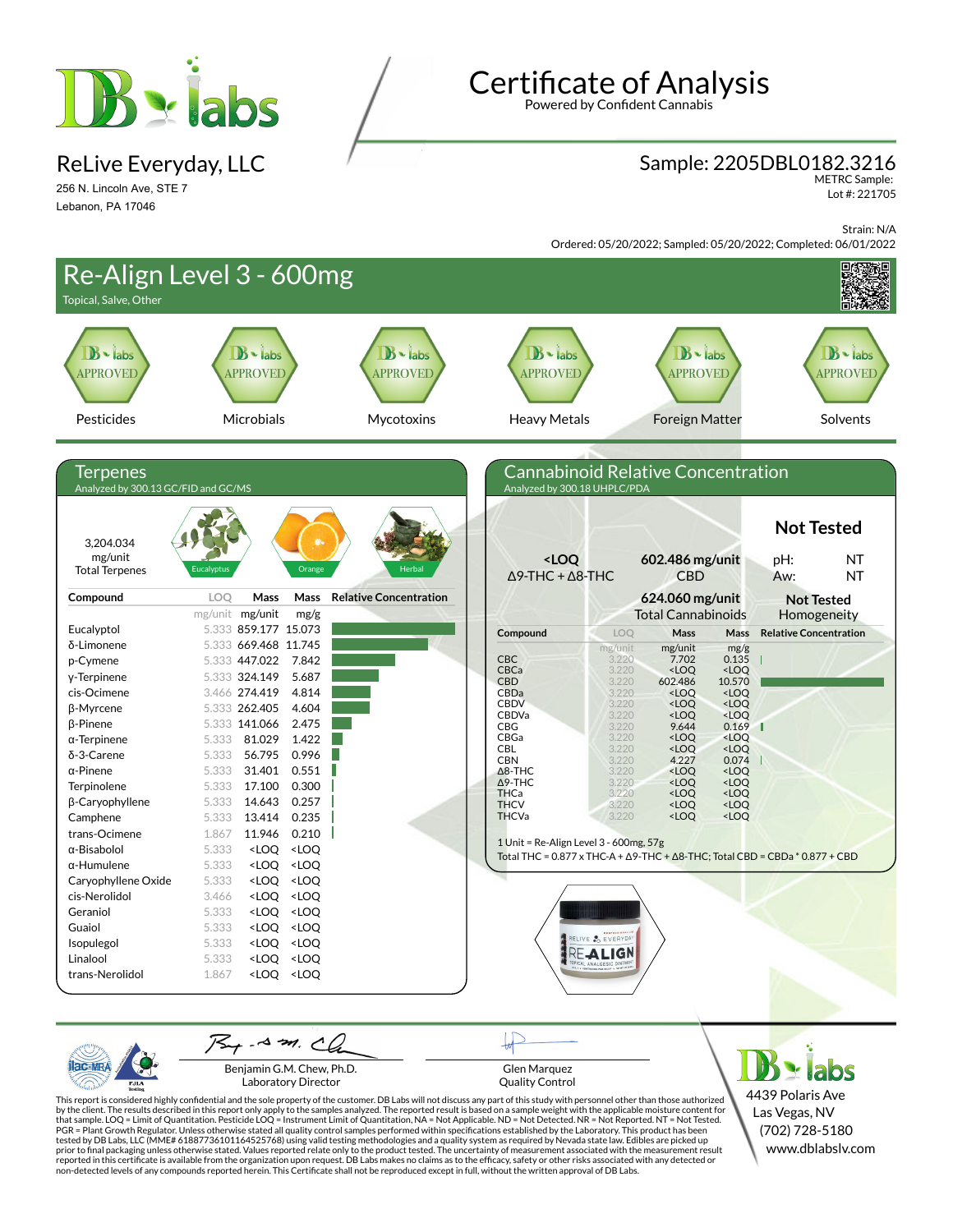

ReLive Everyday, LLC

256 N. Lincoln Ave, STE 7 Lebanon, PA 17046

# **Certificate of Analysis**

Powered by Confident Cannabis

### Sample: 2205DBL0182.3216

METRC Sample: Lot #: 221705

Strain: N/A

Ordered: 05/20/2022; Sampled: 05/20/2022; Completed: 06/01/2022



Benjamin G.M. Chew, Ph.D. Laboratory Director

PJL/

Glen Marquez Quality Control

4439 Polaris Ave Las Vegas, NV (702) 728-5180 www.dblabslv.com

This report is considered highly confidential and the sole property of the customer. DB Labs will not discuss any part of this study with personnel other than those authorized<br>by the client. The results described in this r tested by DB Labs, LLC (MME# 61887736101164525768) using valid testing methodologies and a quality system as required by Nevada state law. Edibles are picked up<br>prior to final packaging unless otherwise stated. Values repo reported in this certificate is available from the organization upon request. DB Labs makes no claims as to the efficacy, safety or other risks associated with any detected or<br>non-detected levels of any compounds reported